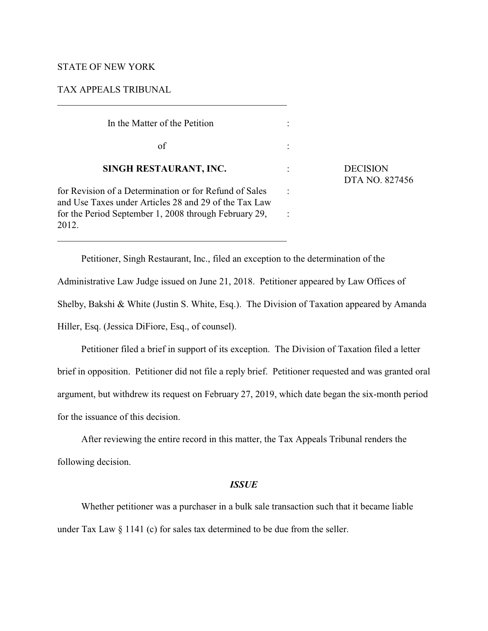# STATE OF NEW YORK

# TAX APPEALS TRIBUNAL

| In the Matter of the Petition                                                                                   |                                   |
|-----------------------------------------------------------------------------------------------------------------|-----------------------------------|
| оf                                                                                                              |                                   |
| SINGH RESTAURANT, INC.                                                                                          | <b>DECISION</b><br>DTA NO. 827456 |
| for Revision of a Determination or for Refund of Sales<br>and Use Taxes under Articles 28 and 29 of the Tax Law |                                   |
| for the Period September 1, 2008 through February 29,<br>2012.                                                  |                                   |

 $\mathcal{L}_\mathcal{L} = \{ \mathcal{L}_\mathcal{L} = \{ \mathcal{L}_\mathcal{L} = \{ \mathcal{L}_\mathcal{L} = \{ \mathcal{L}_\mathcal{L} = \{ \mathcal{L}_\mathcal{L} = \{ \mathcal{L}_\mathcal{L} = \{ \mathcal{L}_\mathcal{L} = \{ \mathcal{L}_\mathcal{L} = \{ \mathcal{L}_\mathcal{L} = \{ \mathcal{L}_\mathcal{L} = \{ \mathcal{L}_\mathcal{L} = \{ \mathcal{L}_\mathcal{L} = \{ \mathcal{L}_\mathcal{L} = \{ \mathcal{L}_\mathcal{$ 

Petitioner, Singh Restaurant, Inc., filed an exception to the determination of the Administrative Law Judge issued on June 21, 2018. Petitioner appeared by Law Offices of Shelby, Bakshi & White (Justin S. White, Esq.). The Division of Taxation appeared by Amanda Hiller, Esq. (Jessica DiFiore, Esq., of counsel).

Petitioner filed a brief in support of its exception. The Division of Taxation filed a letter brief in opposition. Petitioner did not file a reply brief. Petitioner requested and was granted oral argument, but withdrew its request on February 27, 2019, which date began the six-month period for the issuance of this decision.

After reviewing the entire record in this matter, the Tax Appeals Tribunal renders the following decision.

### *ISSUE*

Whether petitioner was a purchaser in a bulk sale transaction such that it became liable under Tax Law § 1141 (c) for sales tax determined to be due from the seller.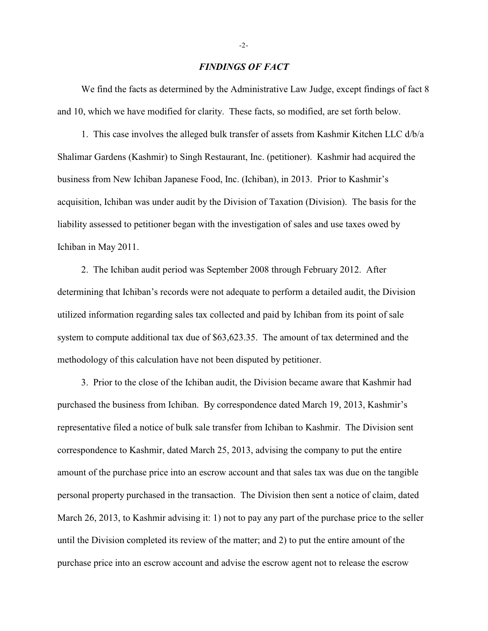### *FINDINGS OF FACT*

We find the facts as determined by the Administrative Law Judge, except findings of fact 8 and 10, which we have modified for clarity. These facts, so modified, are set forth below.

1. This case involves the alleged bulk transfer of assets from Kashmir Kitchen LLC d/b/a Shalimar Gardens (Kashmir) to Singh Restaurant, Inc. (petitioner). Kashmir had acquired the business from New Ichiban Japanese Food, Inc. (Ichiban), in 2013. Prior to Kashmir's acquisition, Ichiban was under audit by the Division of Taxation (Division). The basis for the liability assessed to petitioner began with the investigation of sales and use taxes owed by Ichiban in May 2011.

2. The Ichiban audit period was September 2008 through February 2012. After determining that Ichiban's records were not adequate to perform a detailed audit, the Division utilized information regarding sales tax collected and paid by Ichiban from its point of sale system to compute additional tax due of \$63,623.35. The amount of tax determined and the methodology of this calculation have not been disputed by petitioner.

3. Prior to the close of the Ichiban audit, the Division became aware that Kashmir had purchased the business from Ichiban. By correspondence dated March 19, 2013, Kashmir's representative filed a notice of bulk sale transfer from Ichiban to Kashmir. The Division sent correspondence to Kashmir, dated March 25, 2013, advising the company to put the entire amount of the purchase price into an escrow account and that sales tax was due on the tangible personal property purchased in the transaction. The Division then sent a notice of claim, dated March 26, 2013, to Kashmir advising it: 1) not to pay any part of the purchase price to the seller until the Division completed its review of the matter; and 2) to put the entire amount of the purchase price into an escrow account and advise the escrow agent not to release the escrow

-2-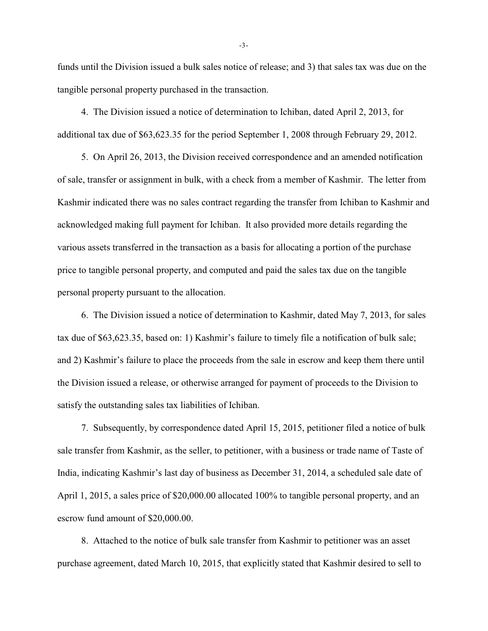funds until the Division issued a bulk sales notice of release; and 3) that sales tax was due on the tangible personal property purchased in the transaction.

4. The Division issued a notice of determination to Ichiban, dated April 2, 2013, for additional tax due of \$63,623.35 for the period September 1, 2008 through February 29, 2012.

5. On April 26, 2013, the Division received correspondence and an amended notification of sale, transfer or assignment in bulk, with a check from a member of Kashmir. The letter from Kashmir indicated there was no sales contract regarding the transfer from Ichiban to Kashmir and acknowledged making full payment for Ichiban. It also provided more details regarding the various assets transferred in the transaction as a basis for allocating a portion of the purchase price to tangible personal property, and computed and paid the sales tax due on the tangible personal property pursuant to the allocation.

6. The Division issued a notice of determination to Kashmir, dated May 7, 2013, for sales tax due of \$63,623.35, based on: 1) Kashmir's failure to timely file a notification of bulk sale; and 2) Kashmir's failure to place the proceeds from the sale in escrow and keep them there until the Division issued a release, or otherwise arranged for payment of proceeds to the Division to satisfy the outstanding sales tax liabilities of Ichiban.

7. Subsequently, by correspondence dated April 15, 2015, petitioner filed a notice of bulk sale transfer from Kashmir, as the seller, to petitioner, with a business or trade name of Taste of India, indicating Kashmir's last day of business as December 31, 2014, a scheduled sale date of April 1, 2015, a sales price of \$20,000.00 allocated 100% to tangible personal property, and an escrow fund amount of \$20,000.00.

8. Attached to the notice of bulk sale transfer from Kashmir to petitioner was an asset purchase agreement, dated March 10, 2015, that explicitly stated that Kashmir desired to sell to

-3-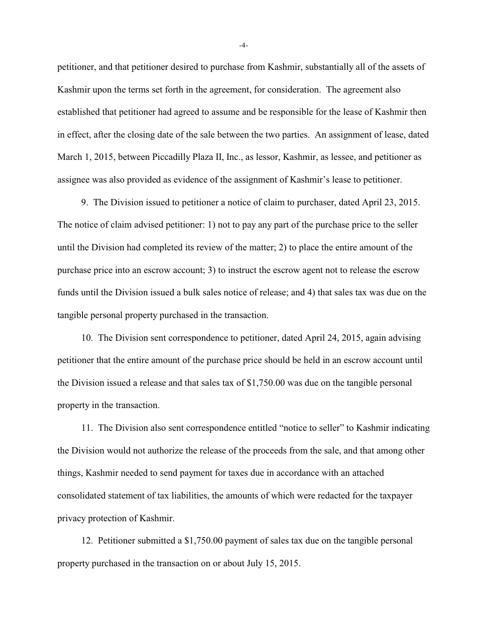petitioner, and that petitioner desired to purchase from Kashmir, substantially all of the assets of Kashmir upon the terms set forth in the agreement, for consideration. The agreement also established that petitioner had agreed to assume and be responsible for the lease of Kashmir then in effect, after the closing date of the sale between the two parties. An assignment of lease, dated March 1, 2015, between Piccadilly Plaza II, Inc., as lessor, Kashmir, as lessee, and petitioner as assignee was also provided as evidence of the assignment of Kashmir's lease to petitioner.

9. The Division issued to petitioner a notice of claim to purchaser, dated April 23, 2015. The notice of claim advised petitioner: 1) not to pay any part of the purchase price to the seller until the Division had completed its review of the matter; 2) to place the entire amount of the purchase price into an escrow account; 3) to instruct the escrow agent not to release the escrow funds until the Division issued a bulk sales notice of release; and 4) that sales tax was due on the tangible personal property purchased in the transaction.

10. The Division sent correspondence to petitioner, dated April 24, 2015, again advising petitioner that the entire amount of the purchase price should be held in an escrow account until the Division issued a release and that sales tax of \$1,750.00 was due on the tangible personal property in the transaction.

11. The Division also sent correspondence entitled "notice to seller" to Kashmir indicating the Division would not authorize the release of the proceeds from the sale, and that among other things, Kashmir needed to send payment for taxes due in accordance with an attached consolidated statement of tax liabilities, the amounts of which were redacted for the taxpayer privacy protection of Kashmir.

12. Petitioner submitted a \$1,750.00 payment of sales tax due on the tangible personal property purchased in the transaction on or about July 15, 2015.

-4-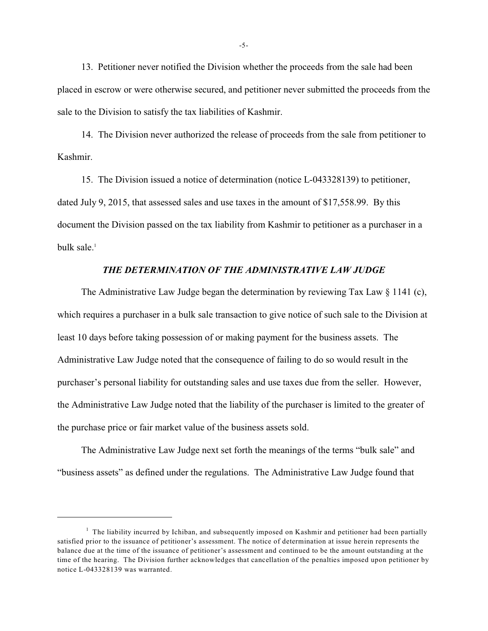13. Petitioner never notified the Division whether the proceeds from the sale had been placed in escrow or were otherwise secured, and petitioner never submitted the proceeds from the sale to the Division to satisfy the tax liabilities of Kashmir.

14. The Division never authorized the release of proceeds from the sale from petitioner to Kashmir.

15. The Division issued a notice of determination (notice L-043328139) to petitioner, dated July 9, 2015, that assessed sales and use taxes in the amount of \$17,558.99. By this document the Division passed on the tax liability from Kashmir to petitioner as a purchaser in a bulk sale.<sup>1</sup>

### *THE DETERMINATION OF THE ADMINISTRATIVE LAW JUDGE*

The Administrative Law Judge began the determination by reviewing Tax Law § 1141 (c), which requires a purchaser in a bulk sale transaction to give notice of such sale to the Division at least 10 days before taking possession of or making payment for the business assets. The Administrative Law Judge noted that the consequence of failing to do so would result in the purchaser's personal liability for outstanding sales and use taxes due from the seller. However, the Administrative Law Judge noted that the liability of the purchaser is limited to the greater of the purchase price or fair market value of the business assets sold.

The Administrative Law Judge next set forth the meanings of the terms "bulk sale" and "business assets" as defined under the regulations. The Administrative Law Judge found that

 $<sup>1</sup>$  The liability incurred by Ichiban, and subsequently imposed on Kashmir and petitioner had been partially</sup> satisfied prior to the issuance of petitioner's assessment. The notice of determination at issue herein represents the balance due at the time of the issuance of petitioner's assessment and continued to be the amount outstanding at the time of the hearing. The Division further acknowledges that cancellation of the penalties imposed upon petitioner by notice L-043328139 was warranted.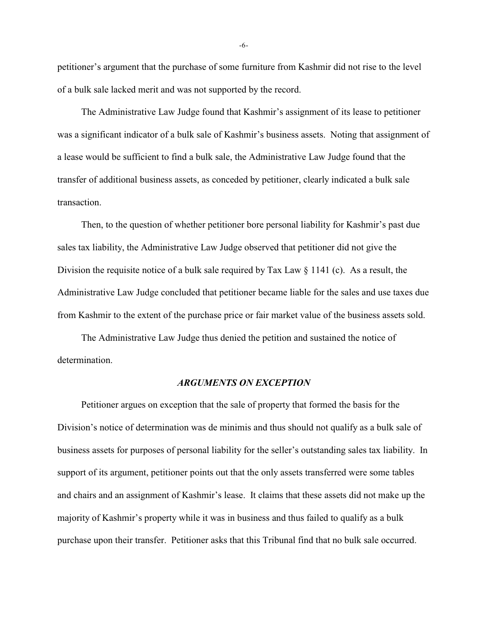petitioner's argument that the purchase of some furniture from Kashmir did not rise to the level of a bulk sale lacked merit and was not supported by the record.

The Administrative Law Judge found that Kashmir's assignment of its lease to petitioner was a significant indicator of a bulk sale of Kashmir's business assets. Noting that assignment of a lease would be sufficient to find a bulk sale, the Administrative Law Judge found that the transfer of additional business assets, as conceded by petitioner, clearly indicated a bulk sale transaction.

Then, to the question of whether petitioner bore personal liability for Kashmir's past due sales tax liability, the Administrative Law Judge observed that petitioner did not give the Division the requisite notice of a bulk sale required by Tax Law § 1141 (c). As a result, the Administrative Law Judge concluded that petitioner became liable for the sales and use taxes due from Kashmir to the extent of the purchase price or fair market value of the business assets sold.

The Administrative Law Judge thus denied the petition and sustained the notice of determination.

## *ARGUMENTS ON EXCEPTION*

Petitioner argues on exception that the sale of property that formed the basis for the Division's notice of determination was de minimis and thus should not qualify as a bulk sale of business assets for purposes of personal liability for the seller's outstanding sales tax liability. In support of its argument, petitioner points out that the only assets transferred were some tables and chairs and an assignment of Kashmir's lease. It claims that these assets did not make up the majority of Kashmir's property while it was in business and thus failed to qualify as a bulk purchase upon their transfer. Petitioner asks that this Tribunal find that no bulk sale occurred.

-6-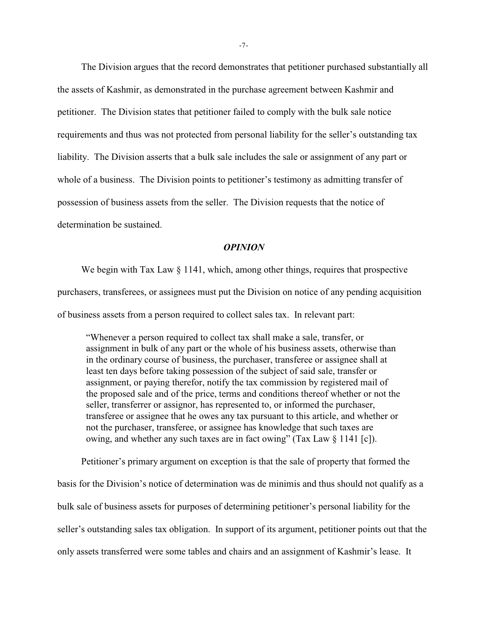The Division argues that the record demonstrates that petitioner purchased substantially all the assets of Kashmir, as demonstrated in the purchase agreement between Kashmir and petitioner. The Division states that petitioner failed to comply with the bulk sale notice requirements and thus was not protected from personal liability for the seller's outstanding tax liability. The Division asserts that a bulk sale includes the sale or assignment of any part or whole of a business. The Division points to petitioner's testimony as admitting transfer of possession of business assets from the seller. The Division requests that the notice of determination be sustained.

#### *OPINION*

We begin with Tax Law § 1141, which, among other things, requires that prospective purchasers, transferees, or assignees must put the Division on notice of any pending acquisition of business assets from a person required to collect sales tax. In relevant part:

"Whenever a person required to collect tax shall make a sale, transfer, or assignment in bulk of any part or the whole of his business assets, otherwise than in the ordinary course of business, the purchaser, transferee or assignee shall at least ten days before taking possession of the subject of said sale, transfer or assignment, or paying therefor, notify the tax commission by registered mail of the proposed sale and of the price, terms and conditions thereof whether or not the seller, transferrer or assignor, has represented to, or informed the purchaser, transferee or assignee that he owes any tax pursuant to this article, and whether or not the purchaser, transferee, or assignee has knowledge that such taxes are owing, and whether any such taxes are in fact owing" (Tax Law § 1141 [c]).

Petitioner's primary argument on exception is that the sale of property that formed the basis for the Division's notice of determination was de minimis and thus should not qualify as a bulk sale of business assets for purposes of determining petitioner's personal liability for the seller's outstanding sales tax obligation. In support of its argument, petitioner points out that the only assets transferred were some tables and chairs and an assignment of Kashmir's lease. It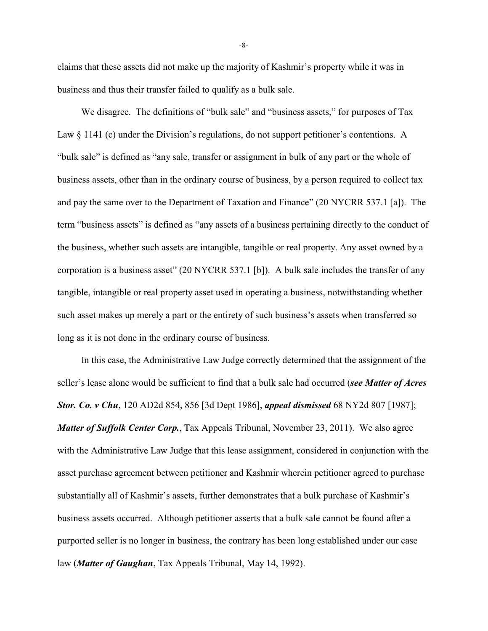claims that these assets did not make up the majority of Kashmir's property while it was in business and thus their transfer failed to qualify as a bulk sale.

We disagree. The definitions of "bulk sale" and "business assets," for purposes of Tax Law § 1141 (c) under the Division's regulations, do not support petitioner's contentions. A "bulk sale" is defined as "any sale, transfer or assignment in bulk of any part or the whole of business assets, other than in the ordinary course of business, by a person required to collect tax and pay the same over to the Department of Taxation and Finance" (20 NYCRR 537.1 [a]). The term "business assets" is defined as "any assets of a business pertaining directly to the conduct of the business, whether such assets are intangible, tangible or real property. Any asset owned by a corporation is a business asset" (20 NYCRR 537.1 [b]). A bulk sale includes the transfer of any tangible, intangible or real property asset used in operating a business, notwithstanding whether such asset makes up merely a part or the entirety of such business's assets when transferred so long as it is not done in the ordinary course of business.

In this case, the Administrative Law Judge correctly determined that the assignment of the seller's lease alone would be sufficient to find that a bulk sale had occurred (*see Matter of Acres Stor. Co. v Chu*, 120 AD2d 854, 856 [3d Dept 1986], *appeal dismissed* 68 NY2d 807 [1987]; *Matter of Suffolk Center Corp.*, Tax Appeals Tribunal, November 23, 2011). We also agree with the Administrative Law Judge that this lease assignment, considered in conjunction with the asset purchase agreement between petitioner and Kashmir wherein petitioner agreed to purchase substantially all of Kashmir's assets, further demonstrates that a bulk purchase of Kashmir's business assets occurred. Although petitioner asserts that a bulk sale cannot be found after a purported seller is no longer in business, the contrary has been long established under our case law (*Matter of Gaughan*, Tax Appeals Tribunal, May 14, 1992).

-8-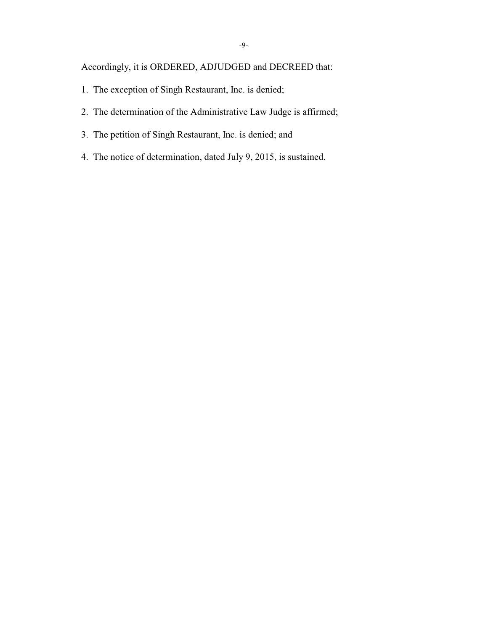Accordingly, it is ORDERED, ADJUDGED and DECREED that:

- 1. The exception of Singh Restaurant, Inc. is denied;
- 2. The determination of the Administrative Law Judge is affirmed;
- 3. The petition of Singh Restaurant, Inc. is denied; and
- 4. The notice of determination, dated July 9, 2015, is sustained.